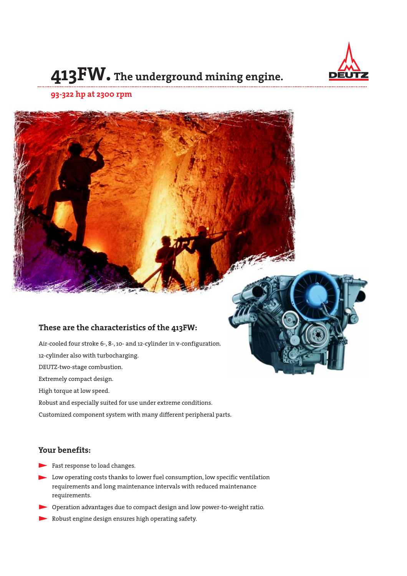

# **413FW. The underground mining engine.**

#### **93-322 hp at 2300 rpm**

## **These are the characteristics of the 413FW:**

Air-cooled four stroke 6-, 8-, 10- and 12-cylinder in v-configuration. 12-cylinder also with turbocharging. DEUTZ-two-stage combustion. Extremely compact design. High torque at low speed. Robust and especially suited for use under extreme conditions. Customized component system with many different peripheral parts.

## **Your benefits:**

- Fast response to load changes.
- Low operating costs thanks to lower fuel consumption, low specific ventilation requirements and long maintenance intervals with reduced maintenance requirements.
- Operation advantages due to compact design and low power-to-weight ratio.
- Robust engine design ensures high operating safety.